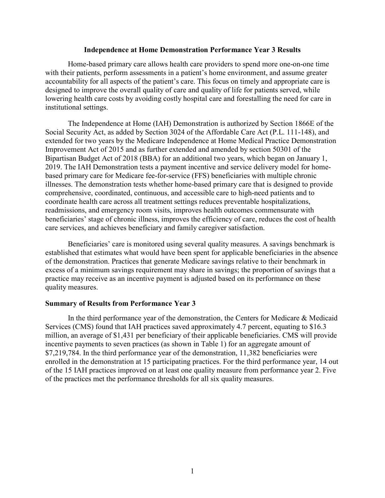## **Independence at Home Demonstration Performance Year 3 Results**

Home-based primary care allows health care providers to spend more one-on-one time with their patients, perform assessments in a patient's home environment, and assume greater accountability for all aspects of the patient's care. This focus on timely and appropriate care is designed to improve the overall quality of care and quality of life for patients served, while lowering health care costs by avoiding costly hospital care and forestalling the need for care in institutional settings.

The Independence at Home (IAH) Demonstration is authorized by Section 1866E of the Social Security Act, as added by Section 3024 of the Affordable Care Act (P.L. 111-148), and extended for two years by the Medicare Independence at Home Medical Practice Demonstration Improvement Act of 2015 and as further extended and amended by section 50301 of the Bipartisan Budget Act of 2018 (BBA) for an additional two years, which began on January 1, 2019. The IAH Demonstration tests a payment incentive and service delivery model for homebased primary care for Medicare fee-for-service (FFS) beneficiaries with multiple chronic illnesses. The demonstration tests whether home-based primary care that is designed to provide comprehensive, coordinated, continuous, and accessible care to high-need patients and to coordinate health care across all treatment settings reduces preventable hospitalizations, readmissions, and emergency room visits, improves health outcomes commensurate with beneficiaries' stage of chronic illness, improves the efficiency of care, reduces the cost of health care services, and achieves beneficiary and family caregiver satisfaction.

Beneficiaries' care is monitored using several quality measures. A savings benchmark is established that estimates what would have been spent for applicable beneficiaries in the absence of the demonstration. Practices that generate Medicare savings relative to their benchmark in excess of a minimum savings requirement may share in savings; the proportion of savings that a practice may receive as an incentive payment is adjusted based on its performance on these quality measures.

#### **Summary of Results from Performance Year 3**

In the third performance year of the demonstration, the Centers for Medicare & Medicaid Services (CMS) found that IAH practices saved approximately 4.7 percent, equating to \$16.3 million, an average of \$1,431 per beneficiary of their applicable beneficiaries. CMS will provide incentive payments to seven practices (as shown in Table 1) for an aggregate amount of \$7,219,784. In the third performance year of the demonstration, 11,382 beneficiaries were enrolled in the demonstration at 15 participating practices. For the third performance year, 14 out of the 15 IAH practices improved on at least one quality measure from performance year 2. Five of the practices met the performance thresholds for all six quality measures.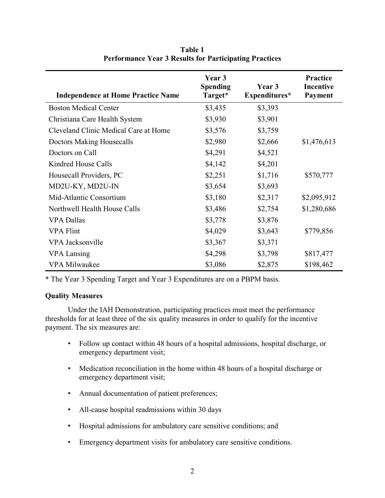| <b>Independence at Home Practice Name</b> | Year 3<br><b>Spending</b><br>Target* | Year 3<br>Expenditures* | <b>Practice</b><br><b>Incentive</b><br><b>Payment</b> |
|-------------------------------------------|--------------------------------------|-------------------------|-------------------------------------------------------|
| <b>Boston Medical Center</b>              | \$3,435                              | \$3,393                 |                                                       |
| Christiana Care Health System             | \$3,930                              | \$3,901                 |                                                       |
| Cleveland Clinic Medical Care at Home     | \$3,576                              | \$3,759                 |                                                       |
| <b>Doctors Making Housecalls</b>          | \$2,980                              | \$2,666                 | \$1,476,613                                           |
| Doctors on Call                           | \$4,291                              | \$4,521                 |                                                       |
| Kindred House Calls                       | \$4,142                              | \$4,201                 |                                                       |
| Housecall Providers, PC                   | \$2,251                              | \$1,716                 | \$570,777                                             |
| MD2U-KY, MD2U-IN                          | \$3,654                              | \$3,693                 |                                                       |
| Mid-Atlantic Consortium                   | \$3,180                              | \$2,317                 | \$2,095,912                                           |
| Northwell Health House Calls              | \$3,486                              | \$2,754                 | \$1,280,686                                           |
| <b>VPA Dallas</b>                         | \$3,778                              | \$3,876                 |                                                       |
| <b>VPA Flint</b>                          | \$4,029                              | \$3,643                 | \$779,856                                             |
| VPA Jacksonville                          | \$3,367                              | \$3,371                 |                                                       |
| <b>VPA</b> Lansing                        | \$4,298                              | \$3,798                 | \$817,477                                             |
| <b>VPA Milwaukee</b>                      | \$3,086                              | \$2,875                 | \$198,462                                             |

**Table 1 Performance Year 3 Results for Participating Practices**

\* The Year 3 Spending Target and Year 3 Expenditures are on a PBPM basis.

# **Quality Measures**

Under the IAH Demonstration, participating practices must meet the performance thresholds for at least three of the six quality measures in order to qualify for the incentive payment. The six measures are:

- Follow up contact within 48 hours of a hospital admissions, hospital discharge, or emergency department visit;
- Medication reconciliation in the home within 48 hours of a hospital discharge or emergency department visit;
- Annual documentation of patient preferences;
- All-cause hospital readmissions within 30 days
- Hospital admissions for ambulatory care sensitive conditions; and
- Emergency department visits for ambulatory care sensitive conditions.